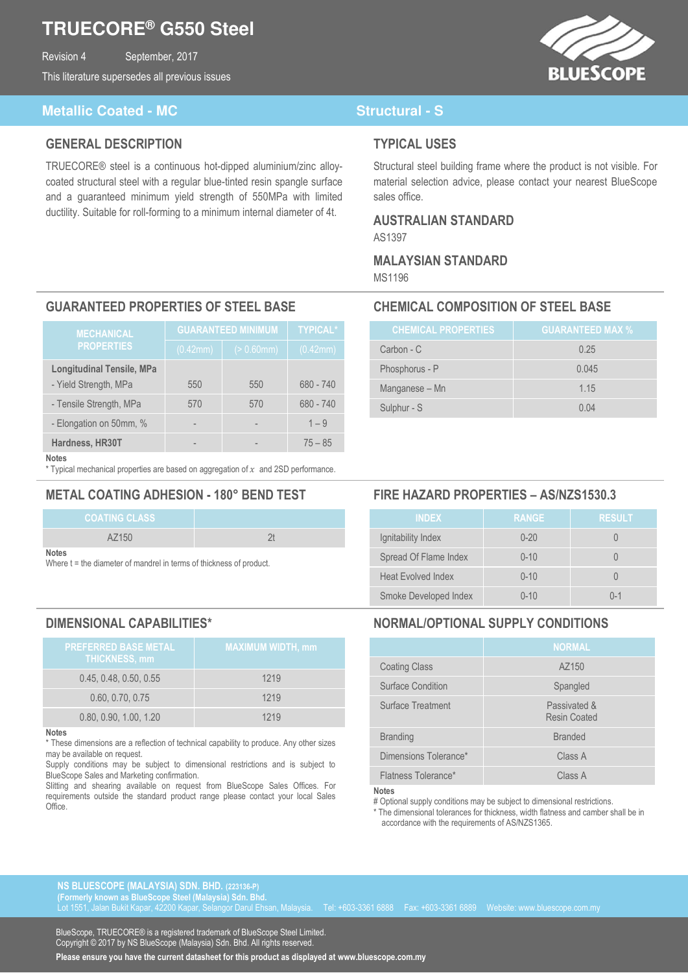# **TRUECORE® G550 Steel**

September, 2017

Revision 4

This literature supersedes all previous issues



## **Metallic Coated - MC** Structural - S

### **GENERAL DESCRIPTION**

TRUECORE® steel is a continuous hot-dipped aluminium/zinc alloycoated structural steel with a regular blue-tinted resin spangle surface and a guaranteed minimum yield strength of 550MPa with limited ductility. Suitable for roll-forming to a minimum internal diameter of 4t.

## **TYPICAL USES**

Structural steel building frame where the product is not visible. For material selection advice, please contact your nearest BlueScope sales office.

### **AUSTRALIAN STANDARD**

AS1397

### **MALAYSIAN STANDARD**  MS1196

## **GUARANTEED PROPERTIES OF STEEL BASE CHEMICAL COMPOSITION OF STEEL BASE**

| <b>MECHANICAL</b>                                         | <b>GUARANTEED MINIMUM</b> |            | <b>TYPICAL*</b> |
|-----------------------------------------------------------|---------------------------|------------|-----------------|
| <b>PROPERTIES</b>                                         | (0.42mm)                  | (> 0.60mm) | (0.42mm)        |
| <b>Longitudinal Tensile, MPa</b><br>- Yield Strength, MPa | 550                       | 550        | 680 - 740       |
| - Tensile Strength, MPa                                   | 570                       | 570        | 680 - 740       |
| - Elongation on 50mm, %                                   |                           |            | $1 - 9$         |
| Hardness, HR30T                                           |                           |            | $75 - 85$       |

### **Notes**

\* Typical mechanical properties are based on aggregation of  $x$  and 2SD performance.

## **METAL COATING ADHESION - 180° BEND TEST FIRE HAZARD PROPERTIES – AS/NZS1530.3**

| <b>COATING CLASS</b> |  |
|----------------------|--|
| A7150                |  |

**Notes**

Where t = the diameter of mandrel in terms of thickness of product.

| <b>PREFERRED BASE METAL</b><br><b>THICKNESS, mm</b> | <b>MAXIMUM WIDTH, mm</b> |
|-----------------------------------------------------|--------------------------|
| 0.45, 0.48, 0.50, 0.55                              | 1219                     |
| 0.60, 0.70, 0.75                                    | 1219                     |
| 0.80, 0.90, 1.00, 1.20                              | 1219                     |

### **Notes**

\* These dimensions are a reflection of technical capability to produce. Any other sizes may be available on request.

Supply conditions may be subject to dimensional restrictions and is subject to BlueScope Sales and Marketing confirmation.

Slitting and shearing available on request from BlueScope Sales Offices. For requirements outside the standard product range please contact your local Sales Office.

| <b>CHEMICAL PROPERTIES</b> | <b>GUARANTEED MAX %</b> |
|----------------------------|-------------------------|
| Carbon - C                 | 0.25                    |
| Phosphorus - P             | 0.045                   |
| Manganese - Mn             | 1.15                    |
| Sulphur - S                | 0.04                    |

| <b>INDEX</b>              | <b>RANGE</b> | <b>RESULT</b> |
|---------------------------|--------------|---------------|
| Ignitability Index        | $0 - 20$     |               |
| Spread Of Flame Index     | $0 - 10$     |               |
| <b>Heat Evolved Index</b> | $0 - 10$     |               |
| Smoke Developed Index     | $0 - 10$     | $0 - 1$       |

## **DIMENSIONAL CAPABILITIES\* NORMAL/OPTIONAL SUPPLY CONDITIONS**

|                       | <b>NORMAL</b>                       |
|-----------------------|-------------------------------------|
| <b>Coating Class</b>  | AZ150                               |
| Surface Condition     | Spangled                            |
| Surface Treatment     | Passivated &<br><b>Resin Coated</b> |
| <b>Branding</b>       | <b>Branded</b>                      |
| Dimensions Tolerance* | Class A                             |
| Flatness Tolerance*   | Class A                             |
|                       |                                     |

**Notes** 

# Optional supply conditions may be subject to dimensional restrictions.

The dimensional tolerances for thickness, width flatness and camber shall be in accordance with the requirements of AS/NZS1365.

**NS BLUESCOPE (MALAYSIA) SDN. BHD. (223136-P) (Formerly known as BlueScope Steel (Malaysia) Sdn. Bhd.** 

i

BlueScope, TRUECORE® is a registered trademark of BlueScope Steel Limited.<br>Convright © 2017 by NS BlueScope (Malaysia) Sdn. Bbd. All rights reserved. " **Please ensure you have the current datasheet for this product as displayed at www.bluescope.com.my**  Copyright © 2017 by NS BlueScope (Malaysia) Sdn. Bhd. All rights reserved.